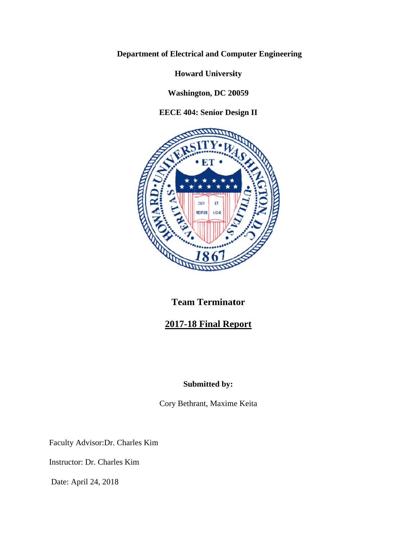**Department of Electrical and Computer Engineering** 

**Howard University** 

**Washington, DC 20059** 

**EECE 404: Senior Design II** 



**Team Terminator** 

# 2017-18 Final Report

# Submitted by:

Cory Bethrant, Maxime Keita

Faculty Advisor: Dr. Charles Kim

Instructor: Dr. Charles Kim

Date: April 24, 2018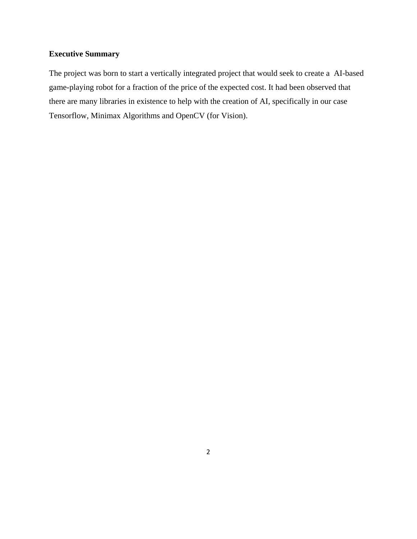# **Executive Summary**

The project was born to start a vertically integrated project that would seek to create a AI-based game-playing robot for a fraction of the price of the expected cost. It had been observed that there are many libraries in existence to help with the creation of AI, specifically in our case Tensorflow, Minimax Algorithms and OpenCV (for Vision).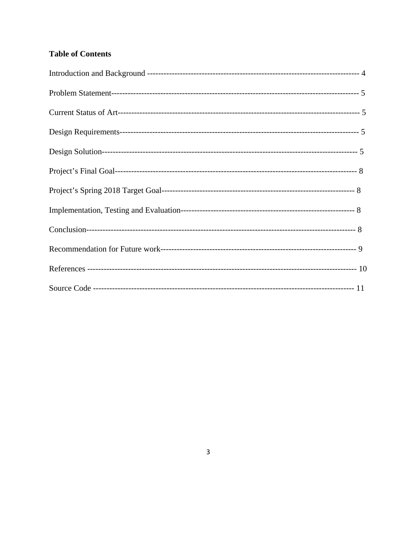# **Table of Contents**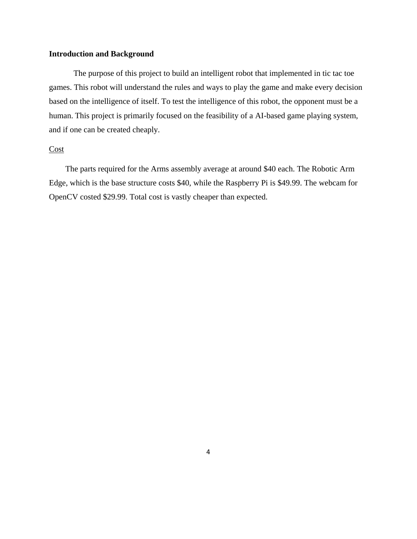#### **Introduction and Background**

The purpose of this project to build an intelligent robot that implemented in tic tac toe games. This robot will understand the rules and ways to play the game and make every decision based on the intelligence of itself. To test the intelligence of this robot, the opponent must be a human. This project is primarily focused on the feasibility of a AI-based game playing system, and if one can be created cheaply.

### **Cost**

 The parts required for the Arms assembly average at around \$40 each. The Robotic Arm Edge, which is the base structure costs \$40, while the Raspberry Pi is \$49.99. The webcam for OpenCV costed \$29.99. Total cost is vastly cheaper than expected.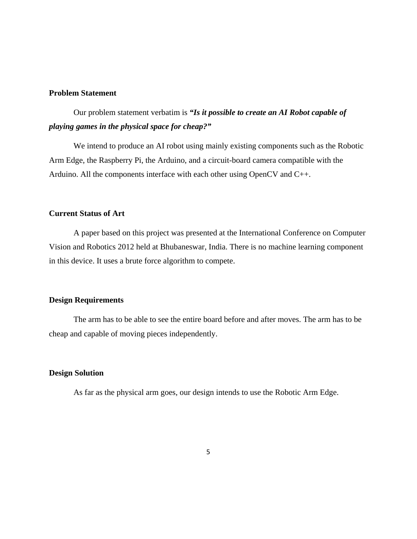#### **Problem Statement**

Our problem statement verbatim is *"Is it possible to create an AI Robot capable of playing games in the physical space for cheap?"* 

We intend to produce an AI robot using mainly existing components such as the Robotic Arm Edge, the Raspberry Pi, the Arduino, and a circuit-board camera compatible with the Arduino. All the components interface with each other using OpenCV and C++.

### **Current Status of Art**

A paper based on this project was presented at the International Conference on Computer Vision and Robotics 2012 held at Bhubaneswar, India. There is no machine learning component in this device. It uses a brute force algorithm to compete.

#### **Design Requirements**

The arm has to be able to see the entire board before and after moves. The arm has to be cheap and capable of moving pieces independently.

#### **Design Solution**

As far as the physical arm goes, our design intends to use the Robotic Arm Edge.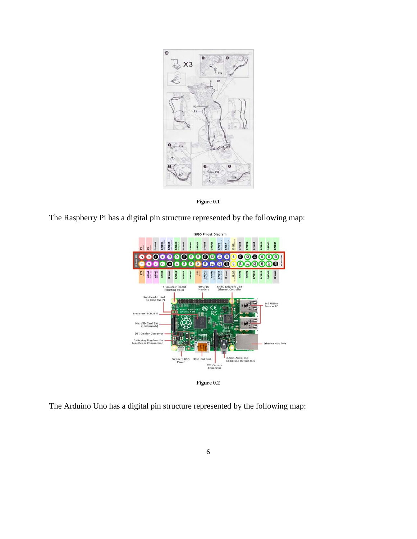

**Figure 0.1** 

The Raspberry Pi has a digital pin structure represented by the following map:



**Figure 0.2** 

The Arduino Uno has a digital pin structure represented by the following map: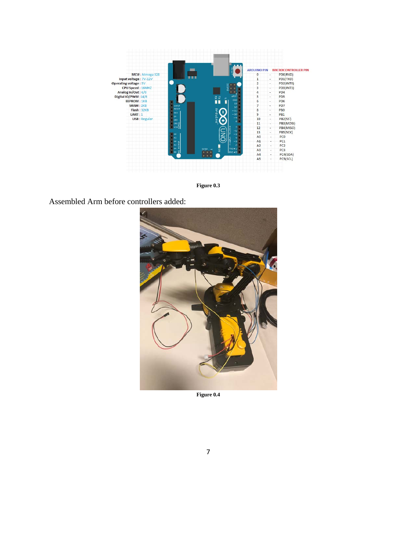

**Figure 0.3** 

Assembled Arm before controllers added:



**Figure 0.4**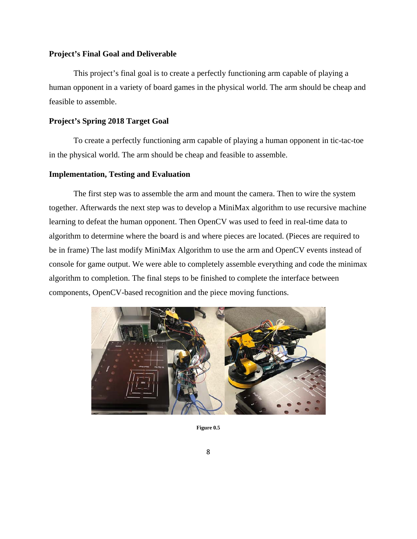#### **Project's Final Goal and Deliverable**

This project's final goal is to create a perfectly functioning arm capable of playing a human opponent in a variety of board games in the physical world. The arm should be cheap and feasible to assemble.

#### **Project's Spring 2018 Target Goal**

 To create a perfectly functioning arm capable of playing a human opponent in tic-tac-toe in the physical world. The arm should be cheap and feasible to assemble.

#### **Implementation, Testing and Evaluation**

The first step was to assemble the arm and mount the camera. Then to wire the system together. Afterwards the next step was to develop a MiniMax algorithm to use recursive machine learning to defeat the human opponent. Then OpenCV was used to feed in real-time data to algorithm to determine where the board is and where pieces are located. (Pieces are required to be in frame) The last modify MiniMax Algorithm to use the arm and OpenCV events instead of console for game output. We were able to completely assemble everything and code the minimax algorithm to completion. The final steps to be finished to complete the interface between components, OpenCV-based recognition and the piece moving functions.



**Figure 0.5**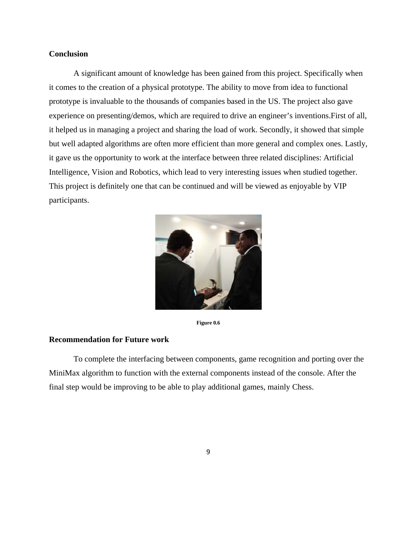#### **Conclusion**

A significant amount of knowledge has been gained from this project. Specifically when it comes to the creation of a physical prototype. The ability to move from idea to functional prototype is invaluable to the thousands of companies based in the US. The project also gave experience on presenting/demos, which are required to drive an engineer's inventions.First of all, it helped us in managing a project and sharing the load of work. Secondly, it showed that simple but well adapted algorithms are often more efficient than more general and complex ones. Lastly, it gave us the opportunity to work at the interface between three related disciplines: Artificial Intelligence, Vision and Robotics, which lead to very interesting issues when studied together. This project is definitely one that can be continued and will be viewed as enjoyable by VIP participants.



**Figure 0.6**

#### **Recommendation for Future work**

 To complete the interfacing between components, game recognition and porting over the MiniMax algorithm to function with the external components instead of the console. After the final step would be improving to be able to play additional games, mainly Chess.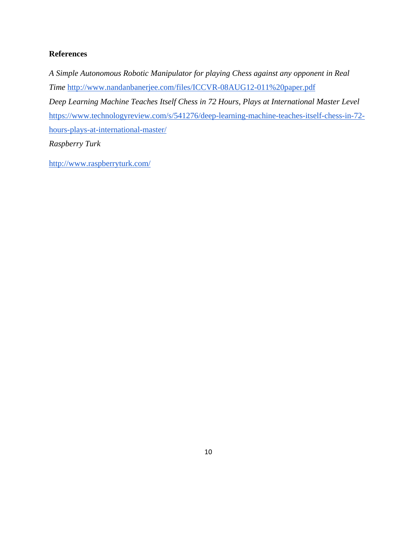## **References**

*A Simple Autonomous Robotic Manipulator for playing Chess against any opponent in Real Time* http://www.nandanbanerjee.com/files/ICCVR-08AUG12-011%20paper.pdf *Deep Learning Machine Teaches Itself Chess in 72 Hours, Plays at International Master Level*  https://www.technologyreview.com/s/541276/deep-learning-machine-teaches-itself-chess-in-72 hours-plays-at-international-master/ *Raspberry Turk*

http://www.raspberryturk.com/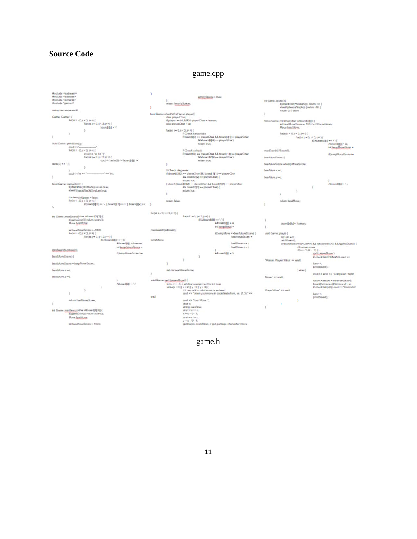### **Source Code**

#### game.cpp

 $\rightarrow$ 

 $\mathbf{r}$ 

 $\mathbf{1}$ 

 $\mathbb{R}$  .

ò.

 $\mathbf{y}$ 

 $\mathcal{G}$ 

and,

Anchale Hosteam)<br>Anchale Hastroam)<br>Anchale Homeriph<br>Anchale "game.h" iaing namaipan,  $\label{eq:decomp} \begin{split} \text{Game: } \text{Gamei} \left( \begin{array}{c} \text{S} \\ \text{length} \, i = 0, i \leq 3, i + r \right) \left\{ \begin{array}{c} \text{for} \, \{x \geq 1 + r\} \\ \text{length} \, i = 0, j \leq 3, j + r \right\} \end{array} \right. \\ \text{for} \, \{x \in \{0, j \leq 3, j + r\} \} \end{array} \end{split}$  $\mathbf{F}$ )<br>  $\begin{aligned} \text{v. not General version} &\left(\begin{array}{c} \text{const} \leftarrow \\ \text{const} \leftarrow \mathbb{Q}_1 \leftarrow \mathbb{Q}_1 + \mathbb{Q}_2 \leftarrow \\ \text{non. } \mathbb{Q}_2 \leftarrow \mathbb{Q}_2 \leftarrow \mathbb{Q}_2 \leftarrow \mathbb{Q}_2 \right. \\ &\text{non. } \mathbb{Q}_2 \leftarrow \mathbb{Q}_2 \leftarrow \mathbb{Q}_2 \leftarrow \mathbb{Q}_2 \leftarrow \mathbb{Q}_2 \leftarrow \mathbb{Q}_2 \leftarrow \mathbb{Q}_2 \leftarrow \mathbb{Q}_2 \leftarrow \mathbb{Q}_2 \leftarrow \mathbb$  $\label{eq:1} \begin{aligned} \text{ind} \rho(\overline{z}) \leq \epsilon^{-\alpha} \int_{-1}^{\infty} \text{d} z \, \text{d} z \leq \frac{1}{\alpha} \int_{0}^{\infty} \text{d} z \, \text{d} z \leq \frac{1}{\alpha} \int_{0}^{\infty} \text{d} z \leq \frac{1}{\alpha} \int_{0}^{\infty} \text{d} z \leq \frac{1}{\alpha} \int_{0}^{\infty} \text{d} z \leq \frac{1}{\alpha} \int_{0}^{\infty} \text{d} z \leq \frac{1}{\alpha} \int_{0}^{\$ )  $\sum_{\text{CDM}} \psi \in \mathcal{M} \text{ or } \mathcal{N} \text{ non-convex-} \mathcal{N} \times \mathcal{M}^{\prime},$  $2$  $\begin{aligned} \text{box General} & \text{current}(\text{NewC}) \leftarrow \\ & \text{figure}(\text{NewCNN}) + \text{LMAN(i)} \text{ relations that} \\ & \text{slow } \text{F}(\text{checkNN}) + \text{MAD(i)} \text{ radius that} \text{ true}; \end{aligned}$  $\hat{\mathbf{r}}$  $\begin{array}{ll} \mbox{int Game} \cup \mbox{maxSearch} \cup \mbox{char} \; \mbox{Ad} \, \mbox{Card} \, \mbox{Supp} \, \{1\} \\ \mbox{figure} \cup \mbox{var} \, \{1\} \\ \mbox{Move \; Diff} \, \mbox{Ad} \, \mbox{var} \, \, \mbox{var} \, \{1\} \end{array}$  $\begin{aligned} &\texttt{aSystem}(\texttt{C}):\texttt{a} \texttt{a} \texttt{C}(\texttt{C}):\texttt{a} \texttt{a}, \\ &\texttt{Mown}(\texttt{A}(\texttt{C}(\texttt{C}))) \texttt{a} \texttt{a} \texttt{b} \texttt{c} \texttt{c} \texttt{c} \texttt{c} \texttt{c} \texttt{c} \texttt{c} \texttt{c} \texttt{c} \texttt{c} \texttt{c} \texttt{c} \texttt{c} \texttt{c} \texttt{c} \texttt{c} \texttt{c} \texttt{c} \texttt{c} \texttt{c$ conferent/Atompt bandAsseScore) ( bookhawScore = lengthbowScore;  $lossMown.x = 1$  $beikNow, y - 1$ )<br>  $\label{eq:inert} \begin{split} \frac{1}{\text{Alboref}(\mathbb{Q})}[-\mathcal{V}] \end{split}$  $\mathbf{y} = \mathbf{y} = \mathbf{y}$ return braf/knowScore.  $\bar{3}$  $\begin{split} \text{as a} \text{ Gauss\_graph} & \text{Sensitivity} \text{ Aboard} \\ & \text{Eigenflow} & \text{(0 red.m. source)} \\ & \text{Move } & \text{log} \\ \end{split}$ int beat/howScore = 1000;

 $\frac{1}{2} \frac{1}{2} \frac{1}{2} \frac{1}{2} \frac{1}{2} \frac{1}{2} \frac{1}{2} \frac{1}{2} \frac{1}{2} \frac{1}{2} \frac{1}{2} \frac{1}{2} \frac{1}{2} \frac{1}{2} \frac{1}{2} \frac{1}{2} \frac{1}{2} \frac{1}{2} \frac{1}{2} \frac{1}{2} \frac{1}{2} \frac{1}{2} \frac{1}{2} \frac{1}{2} \frac{1}{2} \frac{1}{2} \frac{1}{2} \frac{1}{2} \frac{1}{2} \frac{1}{2} \frac{1}{2} \frac{$  $\frac{1}{\sinh m}$  beneficilized:  $\begin{aligned} \text{bool \textit{Cartus.}} & \text{showN}(vq) \text{``keyer player]} \langle \\ & \text{char \textit{pimage} \textit{Cbase}} \\ & \text{dipinger} \leftarrow \text{HOMAN} \text{prique} \textit{Cbase} + \text{harman} \\ & \text{atim \textit{pimage} \textit{Cbase}} + \text{sc} \end{aligned}$ sina prayertore. $\begin{aligned} \text{for all } p(x)=1, &\forall\; x\in\mathbb{R}^n, \\ \text{for } p(x)=1\&\text{ or } p(x)=1\&\text{ or } p(x)=1\&\text{ or } p(x)=1\&\text{ or } p(x)=1\&\text{ or } p(x)=1\&\text{ or } p(x)=1\&\text{ or } p(x)=1\&\text{ or } p(x)=1\&\text{ or } p(x)=1\&\text{ or } p(x)=1\&\text{ or } p(x)=1\&\text{ or } p(x)=1\&\text{ or } p(x)=1\&\text{ or } p(x)=1\&\text{ or }$  $\beta$  (Nearch vericos):  $\begin{aligned} \beta \text{ (Dose1)D1s} &\approx \text{gaugeC} \text{Im}\, \text{g} \text{M} \text{Dose1} \text{D1s} \\ \text{dA boundD2s} &\text{dA boundD3s} &\text{dA sum} \text{Dose1} \text{D1s} \text{F} \text{D1s} \text{F} \text{D1s} \text{F} \text{D1s} \text{F} \text{D1s} \text{F} \text{D1s} \text{F} \text{D1s} \text{F} \text{D1s} \text{F} \text{D1$  $\mathbb{R}^n$  $N$ Ствой, сіндатик<br/>а $\label{eq:RMS} \begin{split} \text{if } \texttt{Chend} & \texttt{Hil} \xrightarrow{N} \texttt{Hord}(\texttt{Hil}) \leftrightarrow \texttt{Hord}(\texttt{Hil}) \leftrightarrow \texttt{Hord}(\texttt{Hil}) \\ \text{if } \texttt{Hord}(\texttt{Hil}) & \texttt{Hil} \xrightarrow{N} \texttt{Hord}(\texttt{Hil}) \Rightarrow \texttt{Hord}(\texttt{Hil}) \wedge \texttt{Hord}(\texttt{Hil}) \Rightarrow \texttt{Hord}(\texttt{Hil}) \\ \text{if } \texttt{Hord}$  $\mathbf{1}$ return falses )  $\label{eq:2} \begin{array}{ll} \mbox{\scriptsize $\{0,1\} \times 2, 1^{n+1}$} \\\\ \mbox{\scriptsize for}(n(1-1,1^{\infty}2,1^{\infty})$} \end{array} \quad \begin{array}{ll} \mbox{\scriptsize $\{0,1\} \times 2, 1^{n+1}$} \\\\ \mbox{\scriptsize for}(n(1-1,1^{\infty}2,1^{\infty})$} \end{array} \quad \begin{array}{ll} \mbox{\scriptsize for}(n(1-1,1^{\infty}2,1^{\infty})$} \end{array} \quad \begin{array}{ll} \mbox{\scriptsize for}(n(1-1,1^$  $\label{eq:optimal} \begin{aligned} \text{if} \{ \text{lengthfree} \leftarrow \text{bestMonNormal}(\text{t}) \} \\ \text{bestMonNormal} = \end{aligned}$ **JamyMove**  $boshMx + 1$  $boxMany-1$  $\frac{1}{\text{Abound}(\|\cdot\|) \times 1}$  $\qquad \qquad$  $\geq$  $\mathbf{h}$ witm bestNoveScore;  $\label{eq:1} \begin{array}{ll} \mathsf{waitGamma}(\mathsf{A}) = \frac{\mathsf{initP}(\mathsf{A})}{\mathsf{initP}(\mathsf{A})} \mathsf{initP}(\mathsf{A}) \in \mathsf{initP}(\mathsf{A}) \text{ with } \mathsf{initP}(\mathsf{A}) \in \mathsf{initP}(\mathsf{A}) \text{ with } \mathsf{initP}(\mathsf{A}) \neq \emptyset \text{ with } \mathsf{initP}(\mathsf{A}) \neq \emptyset \text{ with } \mathsf{initP}(\mathsf{A}) \neq \emptyset \text{ with } \mathsf{initP}(\mathsf{A}) \neq \emptyset \text{ with }$ ctad. << ^ "laar Moos.",<br>"die city<br>ahirg paalalines,<br>"die city and alies,<br>"a = c - '0' - 1,<br>"ar in c - 1' - 1,<br>"ar in c - 1' - 1,<br>"ar in c - 1' - 1,<br>"ar in c - 1' - 1,<br>"ar in c - 1' - 1,<br>"ar in c - 1' - 1,

 $\begin{aligned} \text{inf} \text{ Gauss} & \text{.score}(i) \{ \\ & \text{if}(\text{classANIn}(\text{PLMAN})) \text{ } (\text{sum:} 10, j) \\ & \text{else if}(\text{classANIn}(\text{AL})) \text{ } (\text{column:} 10, j) \\ & \text{relation:} 0, i \text{ case} \end{aligned}$ Move Gerre: reniement<br>cher Alboset<br>[2820  $\}$  = 100,  $\beta$  -100 is arbitrary Move band<br>Move:  $\begin{aligned} \text{with the following}\\ \text{in the following}\\ \text{for } \{p\} = 0, \, p = 2, \, p = 0\} \leq \begin{cases} \text{in the following}\\ \text{for } \{p\} = 0, \, p = 2, \, p = 0\} \end{cases} \\ \text{for } \{p\} = 0, \, p = 2, \, p = 0\} \\ \text{in the following}\\ \text{in the following:} \end{aligned}$ maxSuarch(Albourd); bactAveScore) ( -<br>bootWoodcore = tempMoordcore; beatMostret  $b = 0$  . The distribution  $y = 0$  $\frac{1}{\text{Atrow0} + 1}$  $\chi_{\rm c} = 1$ return beatMove; board(d) + human;  $\begin{split} &\mathcal{L}(\mathcal{U}_0) = \cup \mathcal{M}(\mathcal{U}_0 \otimes \omega_0 \ldots) \\ &\qquad \qquad \mathcal{U}_0 = \mathcal{U}_0 \otimes \omega_0 \\ &\qquad \qquad \mathcal{U}_0 = \mathcal{U}_0 \otimes \omega_0 \\ &\qquad \qquad \mathcal{U}_0 = \mathcal{U}_0 \otimes \omega_0 \otimes \mathcal{U}_0 \otimes \omega_0 \otimes \omega_0 \otimes \omega_0 \otimes \omega_0 \otimes \omega_0 \otimes \omega_0 \otimes \omega_0 \otimes \omega_0 \otimes \omega_0 \otimes \omega_0 \otimes$ "Human Player Wing" ex and:  $\label{eq:loss} \begin{aligned} \text{hame} + \tau, \\ \text{pricBosed(i)} \end{aligned}$  ) size ( sput vis and vis "Computer Player  $M_{\rm ZNN}/\sqrt{m}$  and<br>(  $\begin{aligned} &\text{Now:}~\text{Airrow} = \text{maximodtnard},\\ &\text{transf}(\text{Aimow},\text{g}(\text{Aimow},\text{g})\ast \text{u},\\ &\text{f}(\text{abschV/n}(\text{A}))~\text{out} \leftrightarrow \text{Caryolar} \end{aligned}$ Player Wins" or and;  $\begin{array}{l} \text{limit:} \\ \text{prinBosed} \end{array}$  $\chi^2 \to \chi^2$  $\sim 3$ 

game.h